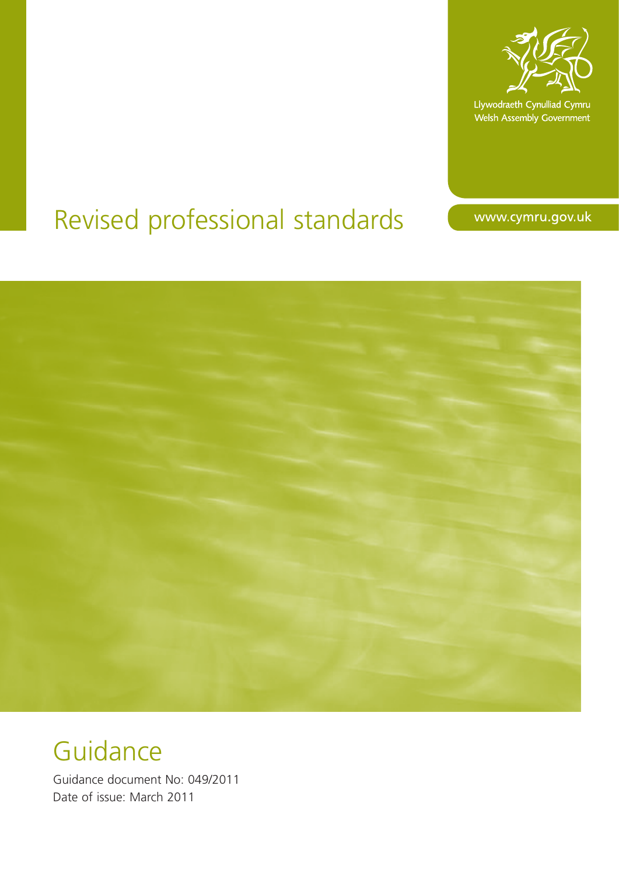

Llywodraeth Cynulliad Cymru Welsh Assembly Government

# Revised professional standards

www.cymru.gov.uk



Guidance

Guidance document No: 049/2011 Date of issue: March 2011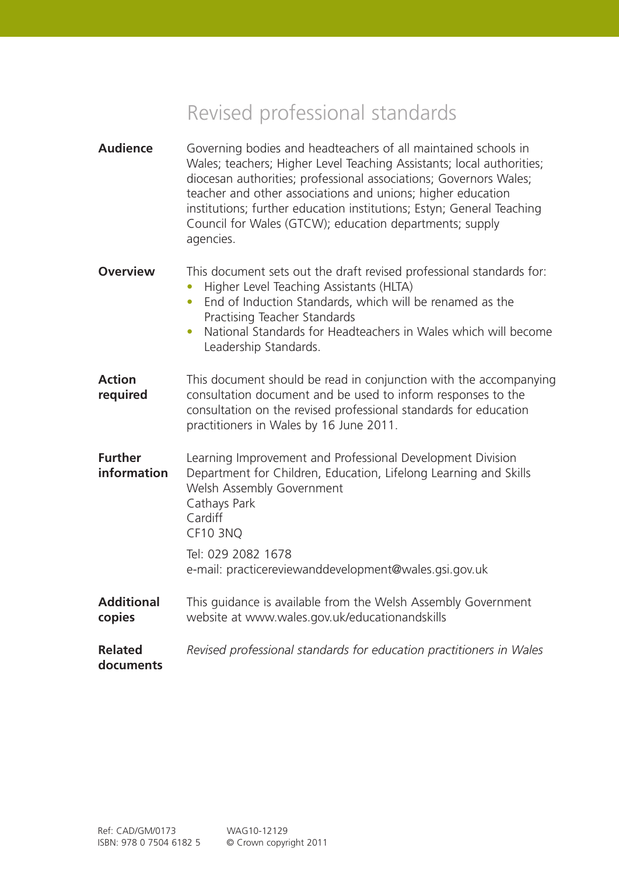## Revised professional standards

| <b>Audience</b>               | Governing bodies and headteachers of all maintained schools in<br>Wales; teachers; Higher Level Teaching Assistants; local authorities;<br>diocesan authorities; professional associations; Governors Wales;<br>teacher and other associations and unions; higher education<br>institutions; further education institutions; Estyn; General Teaching<br>Council for Wales (GTCW); education departments; supply<br>agencies. |
|-------------------------------|------------------------------------------------------------------------------------------------------------------------------------------------------------------------------------------------------------------------------------------------------------------------------------------------------------------------------------------------------------------------------------------------------------------------------|
| <b>Overview</b>               | This document sets out the draft revised professional standards for:<br>Higher Level Teaching Assistants (HLTA)<br>End of Induction Standards, which will be renamed as the<br>$\bullet$<br>Practising Teacher Standards<br>National Standards for Headteachers in Wales which will become<br>Leadership Standards.                                                                                                          |
| <b>Action</b><br>required     | This document should be read in conjunction with the accompanying<br>consultation document and be used to inform responses to the<br>consultation on the revised professional standards for education<br>practitioners in Wales by 16 June 2011.                                                                                                                                                                             |
| <b>Further</b><br>information | Learning Improvement and Professional Development Division<br>Department for Children, Education, Lifelong Learning and Skills<br>Welsh Assembly Government<br>Cathays Park<br>Cardiff<br><b>CF10 3NQ</b><br>Tel: 029 2082 1678<br>e-mail: practicereviewanddevelopment@wales.gsi.gov.uk                                                                                                                                     |
|                               |                                                                                                                                                                                                                                                                                                                                                                                                                              |
| <b>Additional</b><br>copies   | This guidance is available from the Welsh Assembly Government<br>website at www.wales.gov.uk/educationandskills                                                                                                                                                                                                                                                                                                              |
| <b>Related</b><br>documents   | Revised professional standards for education practitioners in Wales                                                                                                                                                                                                                                                                                                                                                          |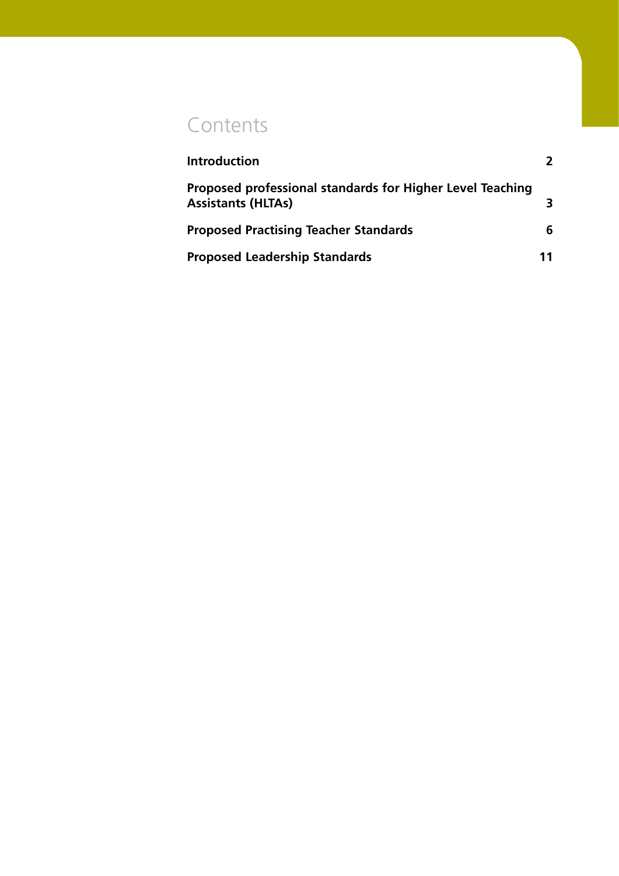## **Contents**

| <b>Introduction</b>                                                                    |    |
|----------------------------------------------------------------------------------------|----|
| Proposed professional standards for Higher Level Teaching<br><b>Assistants (HLTAs)</b> |    |
| <b>Proposed Practising Teacher Standards</b>                                           | h  |
| <b>Proposed Leadership Standards</b>                                                   | 11 |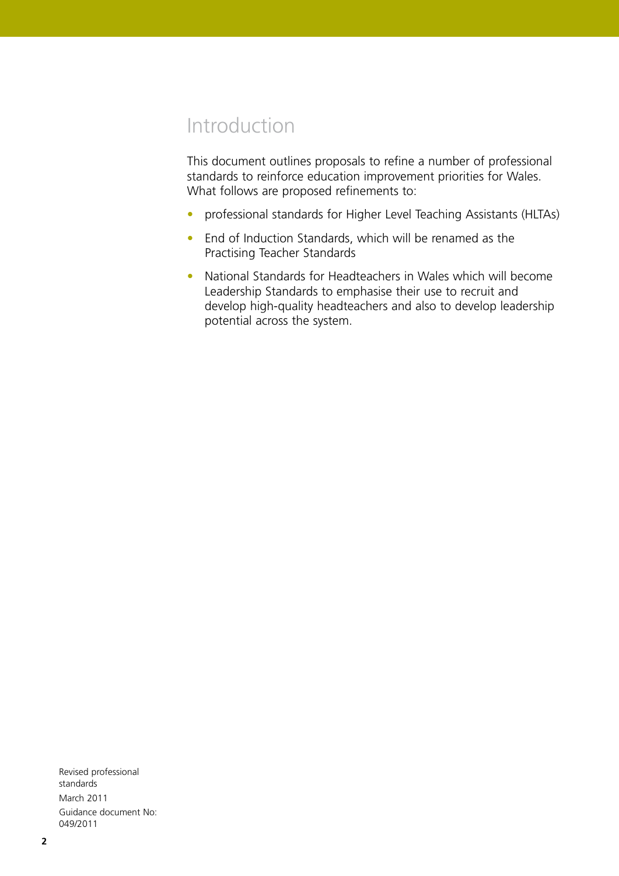## Introduction

This document outlines proposals to refine a number of professional standards to reinforce education improvement priorities for Wales. What follows are proposed refinements to:

- professional standards for Higher Level Teaching Assistants (HLTAs)
- End of Induction Standards, which will be renamed as the Practising Teacher Standards
- National Standards for Headteachers in Wales which will become Leadership Standards to emphasise their use to recruit and develop high-quality headteachers and also to develop leadership potential across the system.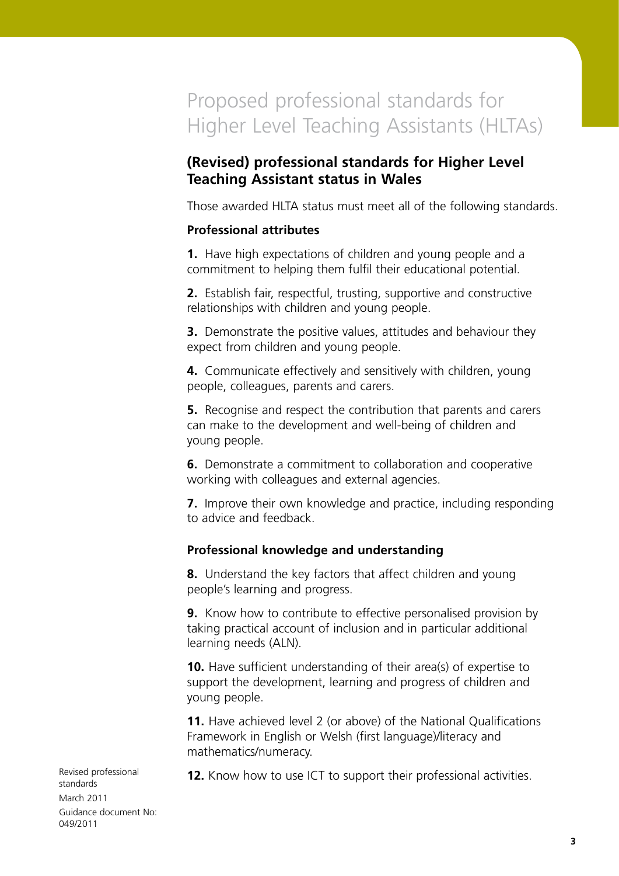## Proposed professional standards for Higher Level Teaching Assistants (HLTAs)

## **(Revised) professional standards for Higher Level Teaching Assistant status in Wales**

Those awarded HLTA status must meet all of the following standards.

## **Professional attributes**

**1.** Have high expectations of children and young people and a commitment to helping them fulfil their educational potential.

**2.** Establish fair, respectful, trusting, supportive and constructive relationships with children and young people.

**3.** Demonstrate the positive values, attitudes and behaviour they expect from children and young people.

**4.** Communicate effectively and sensitively with children, young people, colleagues, parents and carers.

**5.** Recognise and respect the contribution that parents and carers can make to the development and well-being of children and young people.

**6.** Demonstrate a commitment to collaboration and cooperative working with colleagues and external agencies.

**7.** Improve their own knowledge and practice, including responding to advice and feedback.

## **Professional knowledge and understanding**

**8.** Understand the key factors that affect children and young people's learning and progress.

**9.** Know how to contribute to effective personalised provision by taking practical account of inclusion and in particular additional learning needs (ALN).

**10.** Have sufficient understanding of their area(s) of expertise to support the development, learning and progress of children and young people.

**11.** Have achieved level 2 (or above) of the National Qualifications Framework in English or Welsh (first language)/literacy and mathematics/numeracy.

**12.** Know how to use ICT to support their professional activities.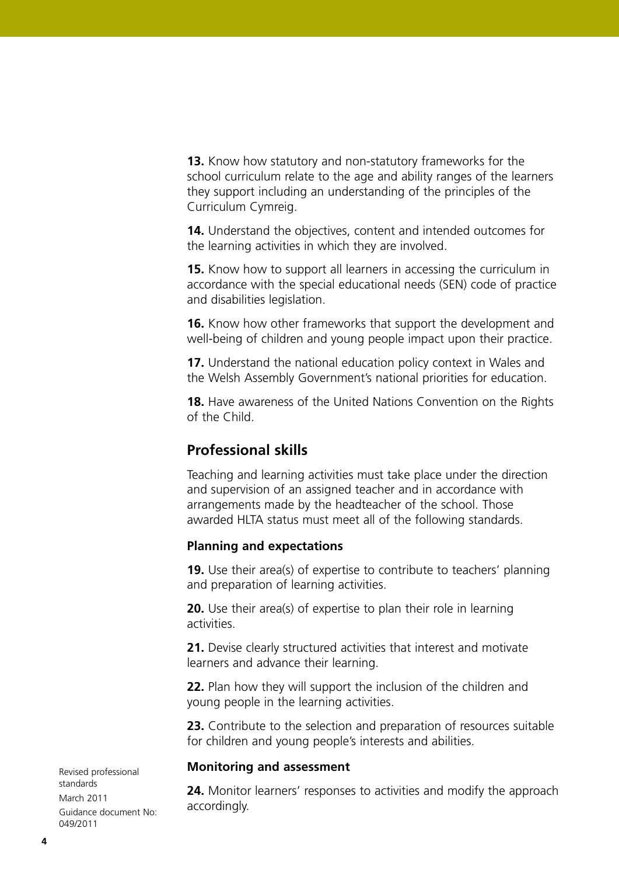**13.** Know how statutory and non-statutory frameworks for the school curriculum relate to the age and ability ranges of the learners they support including an understanding of the principles of the Curriculum Cymreig.

**14.** Understand the objectives, content and intended outcomes for the learning activities in which they are involved.

**15.** Know how to support all learners in accessing the curriculum in accordance with the special educational needs (SEN) code of practice and disabilities legislation.

**16.** Know how other frameworks that support the development and well-being of children and young people impact upon their practice.

**17.** Understand the national education policy context in Wales and the Welsh Assembly Government's national priorities for education.

**18.** Have awareness of the United Nations Convention on the Rights of the Child.

## **Professional skills**

Teaching and learning activities must take place under the direction and supervision of an assigned teacher and in accordance with arrangements made by the headteacher of the school. Those awarded HLTA status must meet all of the following standards.

## **Planning and expectations**

**19.** Use their area(s) of expertise to contribute to teachers' planning and preparation of learning activities.

**20.** Use their area(s) of expertise to plan their role in learning activities.

**21.** Devise clearly structured activities that interest and motivate learners and advance their learning.

**22.** Plan how they will support the inclusion of the children and young people in the learning activities.

**23.** Contribute to the selection and preparation of resources suitable for children and young people's interests and abilities.

#### **Monitoring and assessment**

**24.** Monitor learners' responses to activities and modify the approach accordingly.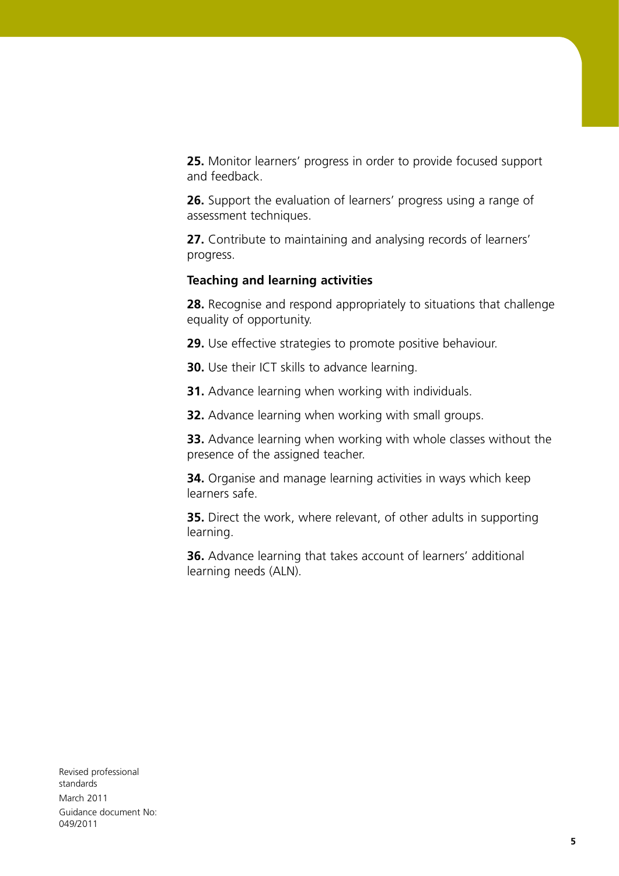**25.** Monitor learners' progress in order to provide focused support and feedback.

**26.** Support the evaluation of learners' progress using a range of assessment techniques.

**27.** Contribute to maintaining and analysing records of learners' progress.

### **Teaching and learning activities**

**28.** Recognise and respond appropriately to situations that challenge equality of opportunity.

**29.** Use effective strategies to promote positive behaviour.

**30.** Use their ICT skills to advance learning.

**31.** Advance learning when working with individuals.

**32.** Advance learning when working with small groups.

**33.** Advance learning when working with whole classes without the presence of the assigned teacher.

**34.** Organise and manage learning activities in ways which keep learners safe.

**35.** Direct the work, where relevant, of other adults in supporting learning.

**36.** Advance learning that takes account of learners' additional learning needs (ALN).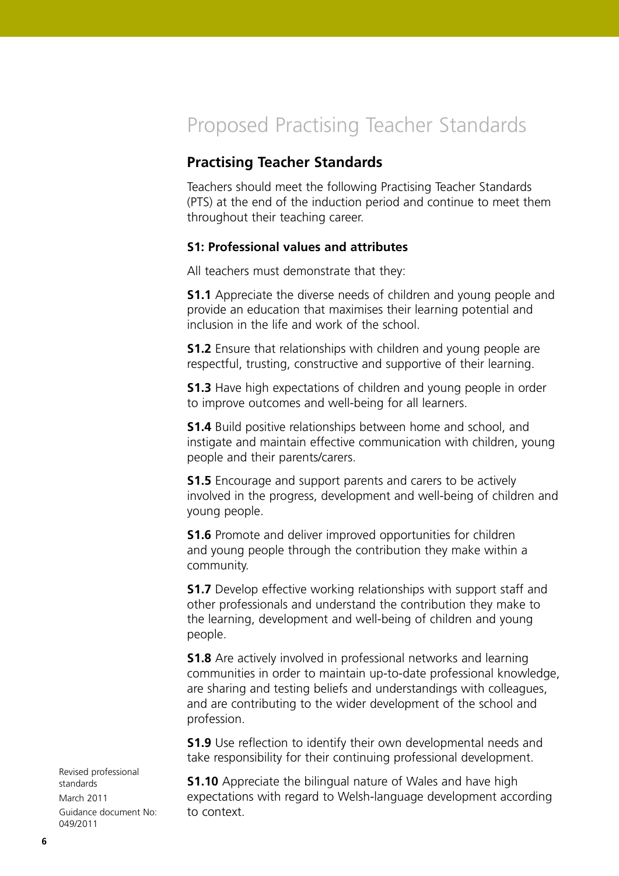## Proposed Practising Teacher Standards

## **Practising Teacher Standards**

Teachers should meet the following Practising Teacher Standards (PTS) at the end of the induction period and continue to meet them throughout their teaching career.

#### **S1: Professional values and attributes**

All teachers must demonstrate that they:

**S1.1** Appreciate the diverse needs of children and young people and provide an education that maximises their learning potential and inclusion in the life and work of the school.

**S1.2** Ensure that relationships with children and young people are respectful, trusting, constructive and supportive of their learning.

**S1.3** Have high expectations of children and young people in order to improve outcomes and well-being for all learners.

**S1.4** Build positive relationships between home and school, and instigate and maintain effective communication with children, young people and their parents/carers.

**S1.5** Encourage and support parents and carers to be actively involved in the progress, development and well-being of children and young people.

**S1.6** Promote and deliver improved opportunities for children and young people through the contribution they make within a community.

**S1.7** Develop effective working relationships with support staff and other professionals and understand the contribution they make to the learning, development and well-being of children and young people.

**S1.8** Are actively involved in professional networks and learning communities in order to maintain up-to-date professional knowledge, are sharing and testing beliefs and understandings with colleagues, and are contributing to the wider development of the school and profession.

**S1.9** Use reflection to identify their own developmental needs and take responsibility for their continuing professional development.

**S1.10** Appreciate the bilingual nature of Wales and have high expectations with regard to Welsh-language development according to context.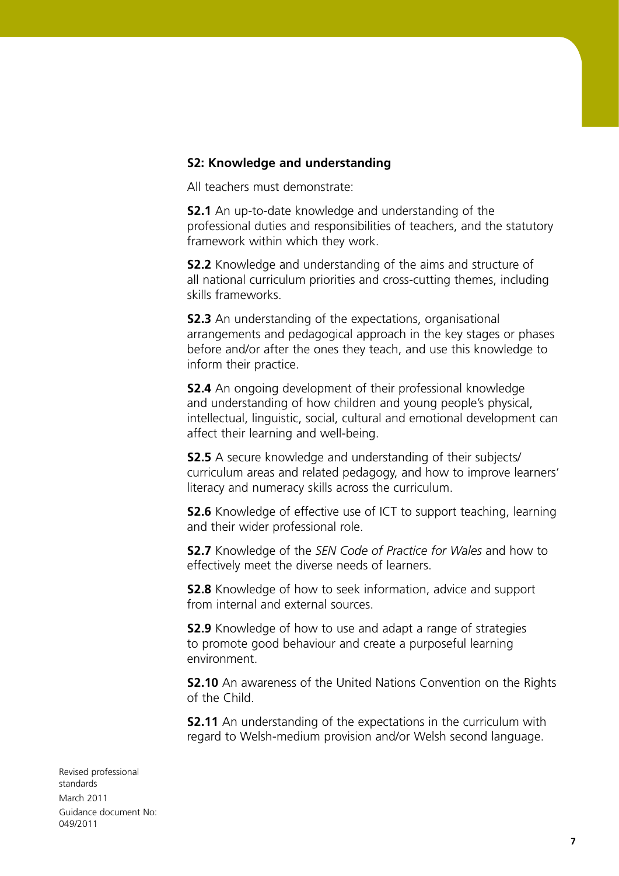### **S2: Knowledge and understanding**

All teachers must demonstrate:

**S2.1** An up-to-date knowledge and understanding of the professional duties and responsibilities of teachers, and the statutory framework within which they work.

**S2.2** Knowledge and understanding of the aims and structure of all national curriculum priorities and cross-cutting themes, including skills frameworks.

**S2.3** An understanding of the expectations, organisational arrangements and pedagogical approach in the key stages or phases before and/or after the ones they teach, and use this knowledge to inform their practice.

**S2.4** An ongoing development of their professional knowledge and understanding of how children and young people's physical, intellectual, linguistic, social, cultural and emotional development can affect their learning and well-being.

**S2.5** A secure knowledge and understanding of their subjects/ curriculum areas and related pedagogy, and how to improve learners' literacy and numeracy skills across the curriculum.

**S2.6** Knowledge of effective use of ICT to support teaching, learning and their wider professional role.

**S2.7** Knowledge of the *SEN Code of Practice for Wales* and how to effectively meet the diverse needs of learners.

**S2.8** Knowledge of how to seek information, advice and support from internal and external sources.

**S2.9** Knowledge of how to use and adapt a range of strategies to promote good behaviour and create a purposeful learning environment.

**S2.10** An awareness of the United Nations Convention on the Rights of the Child.

**S2.11** An understanding of the expectations in the curriculum with regard to Welsh-medium provision and/or Welsh second language.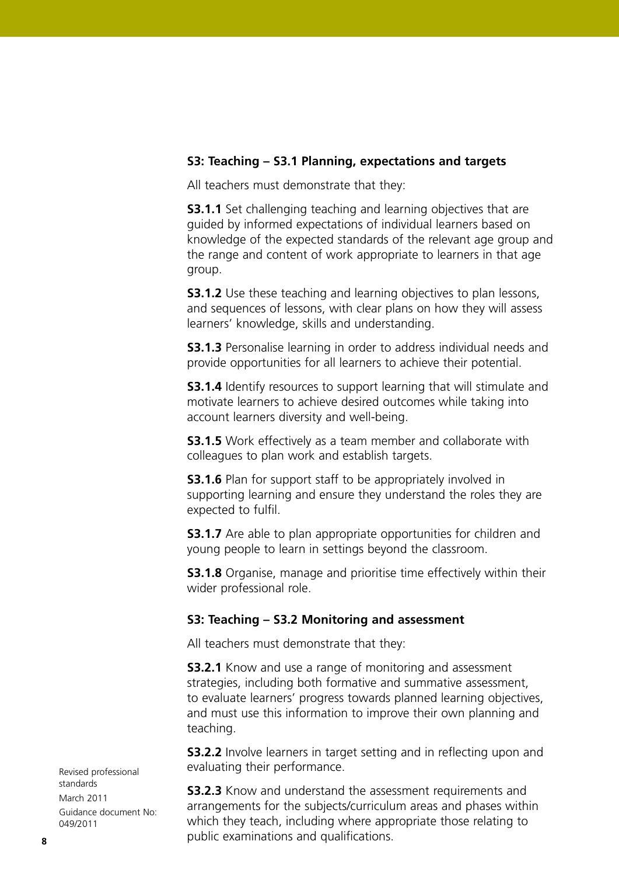## **S3: Teaching – S3.1 Planning, expectations and targets**

All teachers must demonstrate that they:

**S3.1.1** Set challenging teaching and learning objectives that are guided by informed expectations of individual learners based on knowledge of the expected standards of the relevant age group and the range and content of work appropriate to learners in that age group.

**S3.1.2** Use these teaching and learning objectives to plan lessons, and sequences of lessons, with clear plans on how they will assess learners' knowledge, skills and understanding.

**S3.1.3** Personalise learning in order to address individual needs and provide opportunities for all learners to achieve their potential.

**S3.1.4** Identify resources to support learning that will stimulate and motivate learners to achieve desired outcomes while taking into account learners diversity and well-being.

**S3.1.5** Work effectively as a team member and collaborate with colleagues to plan work and establish targets.

**S3.1.6** Plan for support staff to be appropriately involved in supporting learning and ensure they understand the roles they are expected to fulfil.

**S3.1.7** Are able to plan appropriate opportunities for children and young people to learn in settings beyond the classroom.

**S3.1.8** Organise, manage and prioritise time effectively within their wider professional role.

#### **S3: Teaching – S3.2 Monitoring and assessment**

All teachers must demonstrate that they:

**S3.2.1** Know and use a range of monitoring and assessment strategies, including both formative and summative assessment, to evaluate learners' progress towards planned learning objectives, and must use this information to improve their own planning and teaching.

**S3.2.2** Involve learners in target setting and in reflecting upon and evaluating their performance.

**S3.2.3** Know and understand the assessment requirements and arrangements for the subjects/curriculum areas and phases within which they teach, including where appropriate those relating to public examinations and qualifications.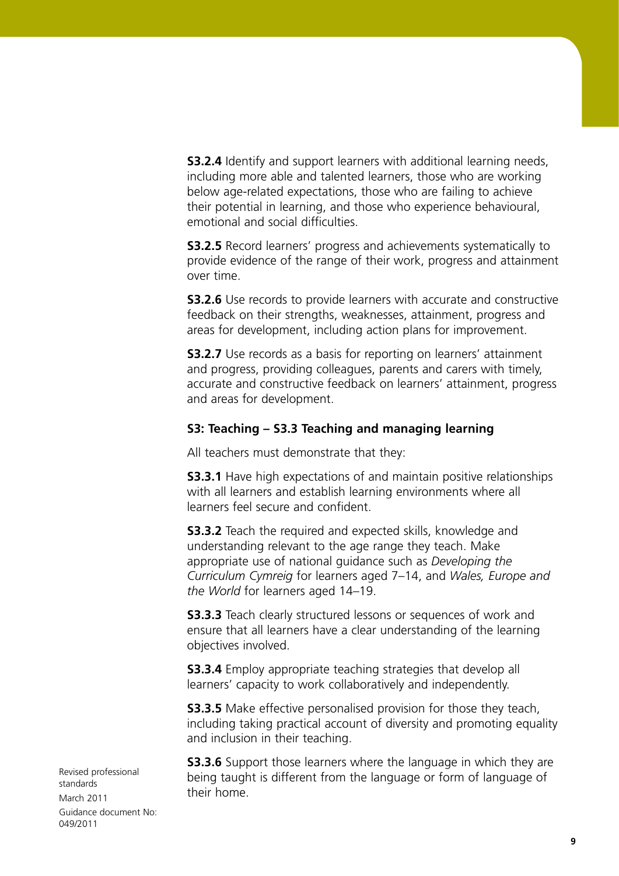**S3.2.4** Identify and support learners with additional learning needs, including more able and talented learners, those who are working below age-related expectations, those who are failing to achieve their potential in learning, and those who experience behavioural, emotional and social difficulties.

**S3.2.5** Record learners' progress and achievements systematically to provide evidence of the range of their work, progress and attainment over time.

**S3.2.6** Use records to provide learners with accurate and constructive feedback on their strengths, weaknesses, attainment, progress and areas for development, including action plans for improvement.

**S3.2.7** Use records as a basis for reporting on learners' attainment and progress, providing colleagues, parents and carers with timely, accurate and constructive feedback on learners' attainment, progress and areas for development.

## **S3: Teaching – S3.3 Teaching and managing learning**

All teachers must demonstrate that they:

**S3.3.1** Have high expectations of and maintain positive relationships with all learners and establish learning environments where all learners feel secure and confident.

**S3.3.2** Teach the required and expected skills, knowledge and understanding relevant to the age range they teach. Make appropriate use of national guidance such as *Developing the Curriculum Cymreig* for learners aged 7–14, and *Wales, Europe and the World* for learners aged 14–19.

**S3.3.3** Teach clearly structured lessons or sequences of work and ensure that all learners have a clear understanding of the learning objectives involved.

**S3.3.4** Employ appropriate teaching strategies that develop all learners' capacity to work collaboratively and independently.

**S3.3.5** Make effective personalised provision for those they teach, including taking practical account of diversity and promoting equality and inclusion in their teaching.

**S3.3.6** Support those learners where the language in which they are being taught is different from the language or form of language of their home.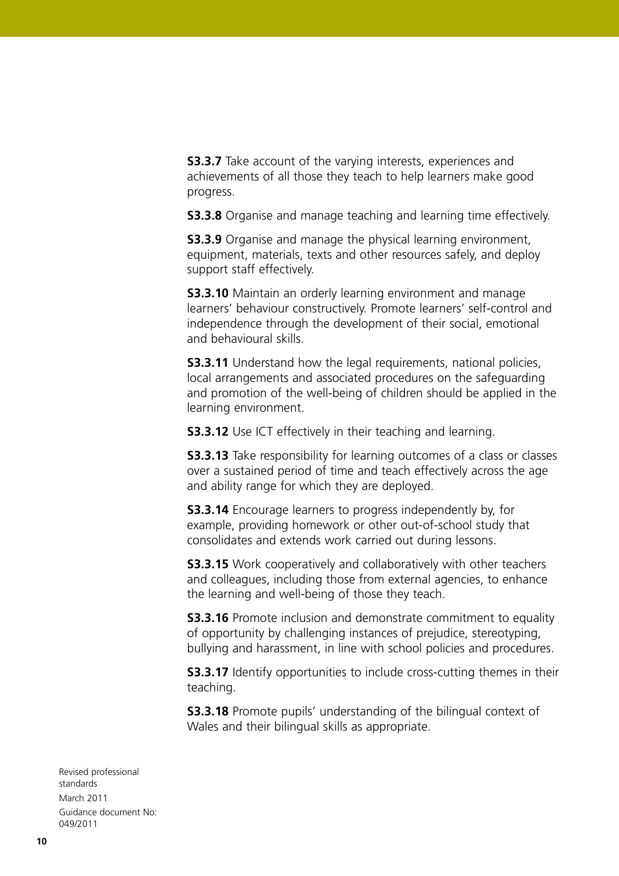**S3.3.7** Take account of the varying interests, experiences and achievements of all those they teach to help learners make good progress.

**S3.3.8** Organise and manage teaching and learning time effectively.

**S3.3.9** Organise and manage the physical learning environment, equipment, materials, texts and other resources safely, and deploy support staff effectively.

**S3.3.10** Maintain an orderly learning environment and manage learners' behaviour constructively. Promote learners' self-control and independence through the development of their social, emotional and behavioural skills.

**S3.3.11** Understand how the legal requirements, national policies, local arrangements and associated procedures on the safeguarding and promotion of the well-being of children should be applied in the learning environment.

**S3.3.12** Use ICT effectively in their teaching and learning.

**S3.3.13** Take responsibility for learning outcomes of a class or classes over a sustained period of time and teach effectively across the age and ability range for which they are deployed.

**S3.3.14** Encourage learners to progress independently by, for example, providing homework or other out-of-school study that consolidates and extends work carried out during lessons.

**S3.3.15** Work cooperatively and collaboratively with other teachers and colleagues, including those from external agencies, to enhance the learning and well-being of those they teach.

**S3.3.16** Promote inclusion and demonstrate commitment to equality of opportunity by challenging instances of prejudice, stereotyping, bullying and harassment, in line with school policies and procedures.

**S3.3.17** Identify opportunities to include cross-cutting themes in their teaching.

**S3.3.18** Promote pupils' understanding of the bilingual context of Wales and their bilingual skills as appropriate.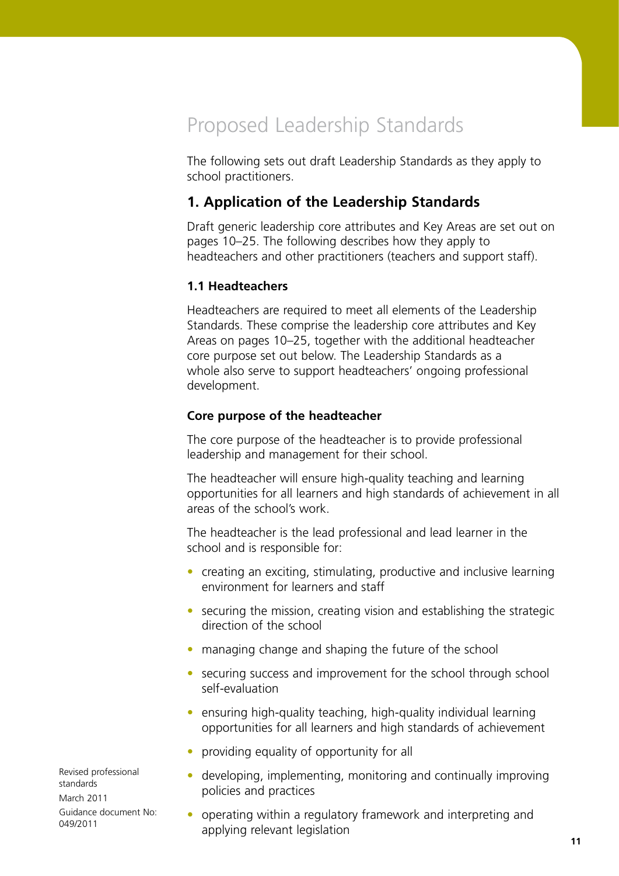## Proposed Leadership Standards

The following sets out draft Leadership Standards as they apply to school practitioners.

## **1. Application of the Leadership Standards**

Draft generic leadership core attributes and Key Areas are set out on pages 10–25. The following describes how they apply to headteachers and other practitioners (teachers and support staff).

## **1.1 Headteachers**

Headteachers are required to meet all elements of the Leadership Standards. These comprise the leadership core attributes and Key Areas on pages 10–25, together with the additional headteacher core purpose set out below. The Leadership Standards as a whole also serve to support headteachers' ongoing professional development.

## **Core purpose of the headteacher**

The core purpose of the headteacher is to provide professional leadership and management for their school.

The headteacher will ensure high-quality teaching and learning opportunities for all learners and high standards of achievement in all areas of the school's work.

The headteacher is the lead professional and lead learner in the school and is responsible for:

- creating an exciting, stimulating, productive and inclusive learning environment for learners and staff
- securing the mission, creating vision and establishing the strategic direction of the school
- managing change and shaping the future of the school
- securing success and improvement for the school through school self-evaluation
- ensuring high-quality teaching, high-quality individual learning opportunities for all learners and high standards of achievement
- providing equality of opportunity for all
- developing, implementing, monitoring and continually improving policies and practices
- operating within a regulatory framework and interpreting and applying relevant legislation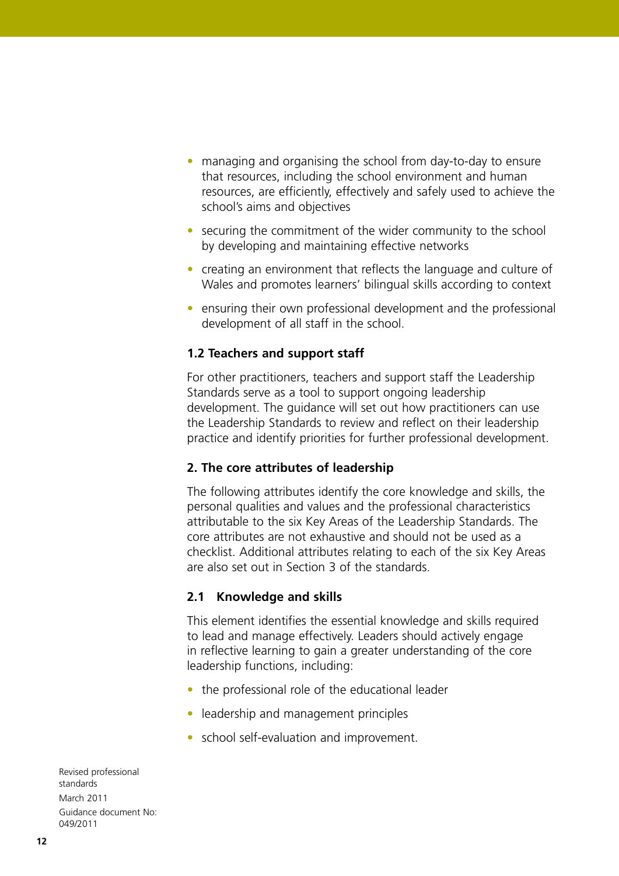- managing and organising the school from day-to-day to ensure that resources, including the school environment and human resources, are efficiently, effectively and safely used to achieve the school's aims and objectives
- securing the commitment of the wider community to the school by developing and maintaining effective networks
- creating an environment that reflects the language and culture of Wales and promotes learners' bilingual skills according to context
- ensuring their own professional development and the professional development of all staff in the school.

## **1.2 Teachers and support staff**

For other practitioners, teachers and support staff the Leadership Standards serve as a tool to support ongoing leadership development. The guidance will set out how practitioners can use the Leadership Standards to review and reflect on their leadership practice and identify priorities for further professional development.

## **2. The core attributes of leadership**

The following attributes identify the core knowledge and skills, the personal qualities and values and the professional characteristics attributable to the six Key Areas of the Leadership Standards. The core attributes are not exhaustive and should not be used as a checklist. Additional attributes relating to each of the six Key Areas are also set out in Section 3 of the standards.

## **2.1 Knowledge and skills**

This element identifies the essential knowledge and skills required to lead and manage effectively. Leaders should actively engage in reflective learning to gain a greater understanding of the core leadership functions, including:

- the professional role of the educational leader
- leadership and management principles
- school self-evaluation and improvement.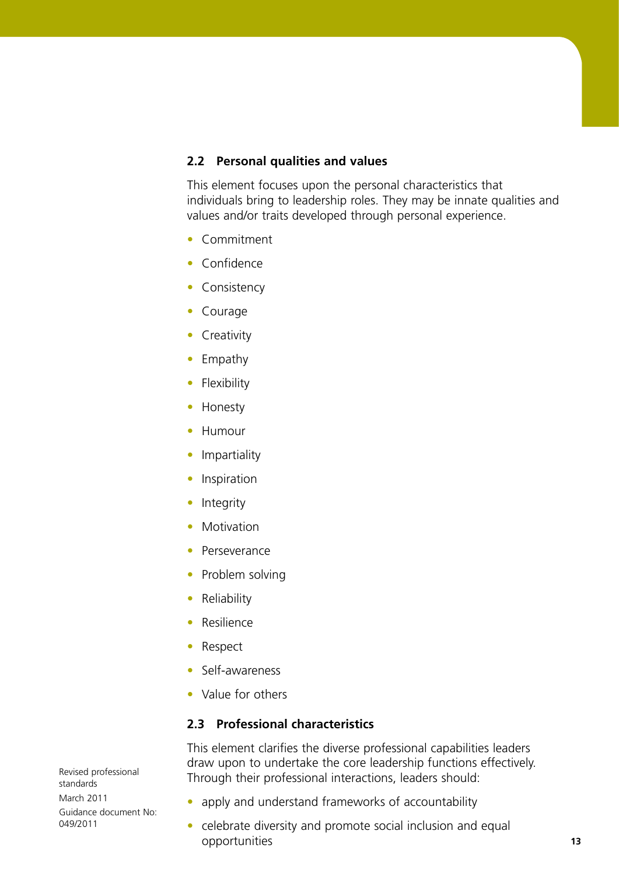### **2.2 Personal qualities and values**

This element focuses upon the personal characteristics that individuals bring to leadership roles. They may be innate qualities and values and/or traits developed through personal experience.

- Commitment
- Confidence
- Consistency
- Courage
- Creativity
- Empathy
- Flexibility
- Honesty
- Humour
- Impartiality
- **•** Inspiration
- Integrity
- Motivation
- Perseverance
- Problem solving
- Reliability
- Resilience
- Respect
- Self-awareness
- Value for others

## **2.3 Professional characteristics**

This element clarifies the diverse professional capabilities leaders draw upon to undertake the core leadership functions effectively. Through their professional interactions, leaders should:

- apply and understand frameworks of accountability
- celebrate diversity and promote social inclusion and equal opportunities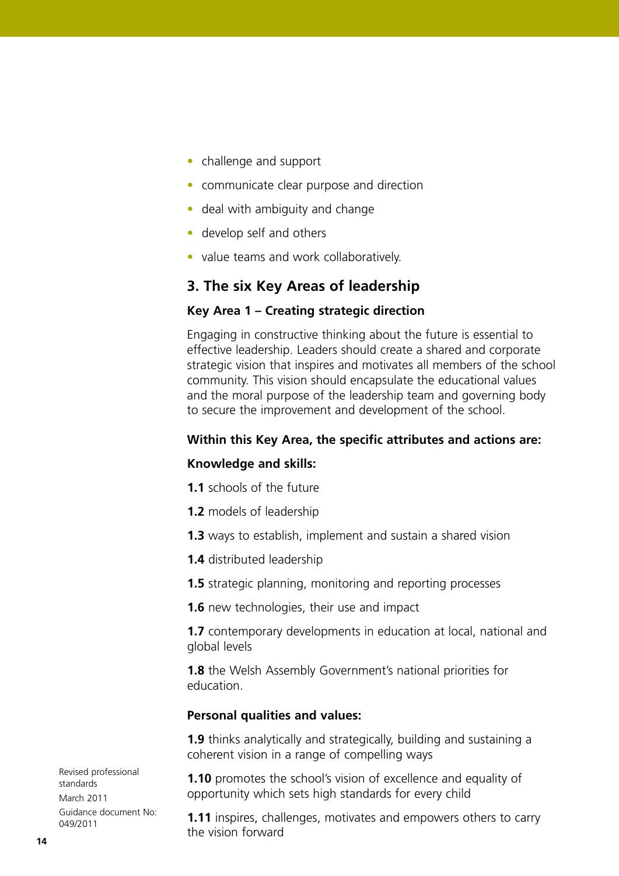- challenge and support
- communicate clear purpose and direction
- deal with ambiguity and change
- develop self and others
- value teams and work collaboratively.

## **3. The six Key Areas of leadership**

#### **Key Area 1 – Creating strategic direction**

Engaging in constructive thinking about the future is essential to effective leadership. Leaders should create a shared and corporate strategic vision that inspires and motivates all members of the school community. This vision should encapsulate the educational values and the moral purpose of the leadership team and governing body to secure the improvement and development of the school.

### **Within this Key Area, the specific attributes and actions are:**

#### **Knowledge and skills:**

- **1.1** schools of the future
- **1.2** models of leadership
- **1.3** ways to establish, implement and sustain a shared vision
- **1.4** distributed leadership

**1.5** strategic planning, monitoring and reporting processes

**1.6** new technologies, their use and impact

**1.7** contemporary developments in education at local, national and global levels

**1.8** the Welsh Assembly Government's national priorities for education.

## **Personal qualities and values:**

**1.9** thinks analytically and strategically, building and sustaining a coherent vision in a range of compelling ways

**1.10** promotes the school's vision of excellence and equality of opportunity which sets high standards for every child

**1.11** inspires, challenges, motivates and empowers others to carry the vision forward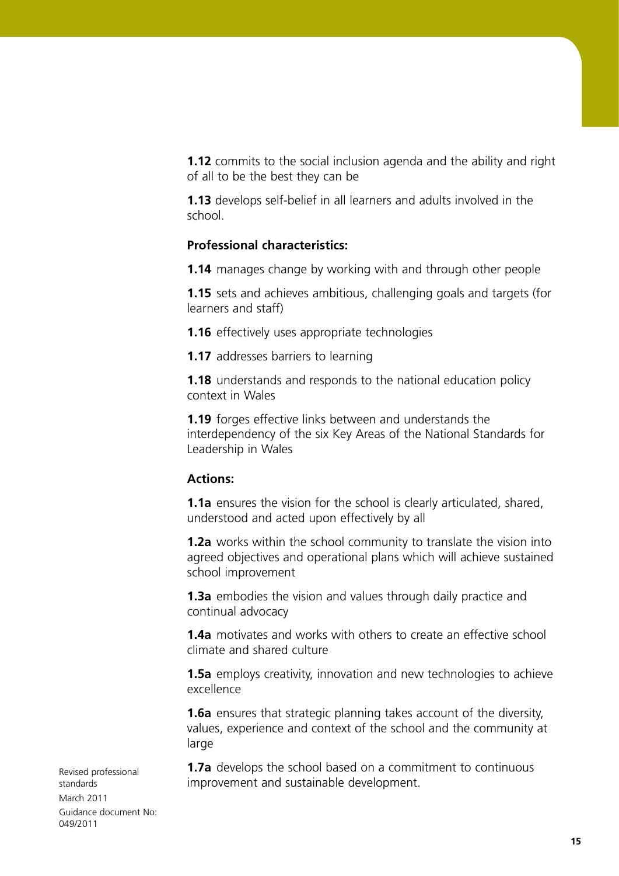**1.12** commits to the social inclusion agenda and the ability and right of all to be the best they can be

**1.13** develops self-belief in all learners and adults involved in the school.

## **Professional characteristics:**

**1.14** manages change by working with and through other people

**1.15** sets and achieves ambitious, challenging goals and targets (for learners and staff)

**1.16** effectively uses appropriate technologies

**1.17** addresses barriers to learning

**1.18** understands and responds to the national education policy context in Wales

**1.19** forges effective links between and understands the interdependency of the six Key Areas of the National Standards for Leadership in Wales

## **Actions:**

**1.1a** ensures the vision for the school is clearly articulated, shared, understood and acted upon effectively by all

**1.2a** works within the school community to translate the vision into agreed objectives and operational plans which will achieve sustained school improvement

**1.3a** embodies the vision and values through daily practice and continual advocacy

**1.4a** motivates and works with others to create an effective school climate and shared culture

**1.5a** employs creativity, innovation and new technologies to achieve excellence

**1.6a** ensures that strategic planning takes account of the diversity, values, experience and context of the school and the community at large

**1.7a** develops the school based on a commitment to continuous improvement and sustainable development.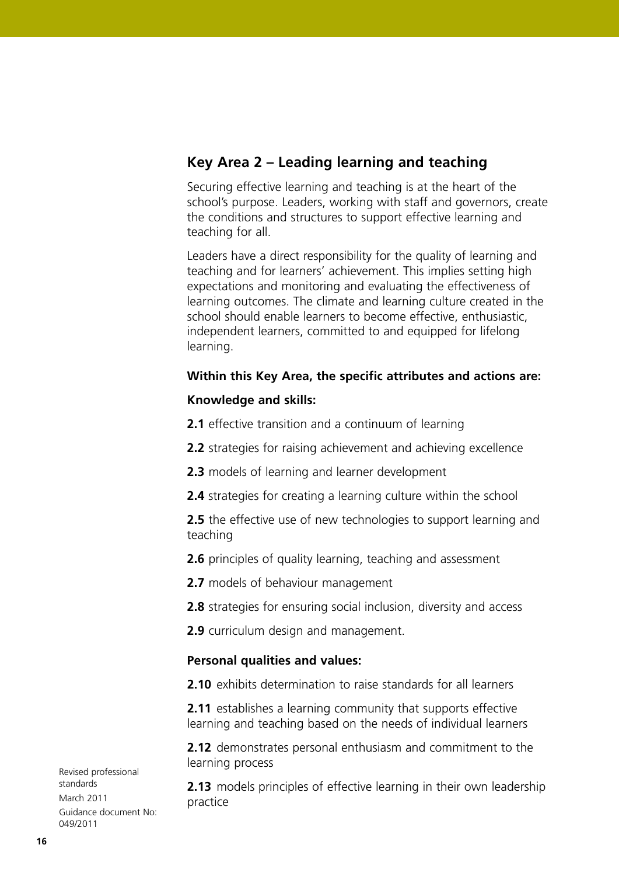## **Key Area 2 – Leading learning and teaching**

Securing effective learning and teaching is at the heart of the school's purpose. Leaders, working with staff and governors, create the conditions and structures to support effective learning and teaching for all.

Leaders have a direct responsibility for the quality of learning and teaching and for learners' achievement. This implies setting high expectations and monitoring and evaluating the effectiveness of learning outcomes. The climate and learning culture created in the school should enable learners to become effective, enthusiastic, independent learners, committed to and equipped for lifelong learning.

## **Within this Key Area, the specific attributes and actions are:**

## **Knowledge and skills:**

- **2.1** effective transition and a continuum of learning
- **2.2** strategies for raising achievement and achieving excellence
- **2.3** models of learning and learner development
- **2.4** strategies for creating a learning culture within the school
- **2.5** the effective use of new technologies to support learning and teaching
- **2.6** principles of quality learning, teaching and assessment
- **2.7** models of behaviour management
- **2.8** strategies for ensuring social inclusion, diversity and access
- **2.9** curriculum design and management.

## **Personal qualities and values:**

**2.10** exhibits determination to raise standards for all learners

**2.11** establishes a learning community that supports effective learning and teaching based on the needs of individual learners

**2.12** demonstrates personal enthusiasm and commitment to the learning process

**2.13** models principles of effective learning in their own leadership practice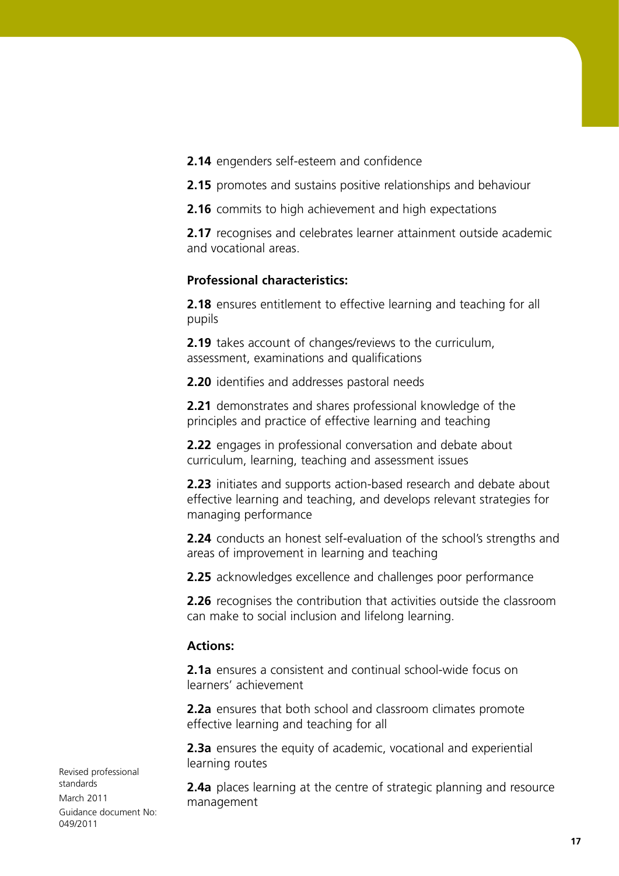**2.14** engenders self-esteem and confidence

**2.15** promotes and sustains positive relationships and behaviour

**2.16** commits to high achievement and high expectations

**2.17** recognises and celebrates learner attainment outside academic and vocational areas.

## **Professional characteristics:**

**2.18** ensures entitlement to effective learning and teaching for all pupils

**2.19** takes account of changes/reviews to the curriculum, assessment, examinations and qualifications

**2.20** identifies and addresses pastoral needs

**2.21** demonstrates and shares professional knowledge of the principles and practice of effective learning and teaching

**2.22** engages in professional conversation and debate about curriculum, learning, teaching and assessment issues

**2.23** initiates and supports action-based research and debate about effective learning and teaching, and develops relevant strategies for managing performance

**2.24** conducts an honest self-evaluation of the school's strengths and areas of improvement in learning and teaching

**2.25** acknowledges excellence and challenges poor performance

**2.26** recognises the contribution that activities outside the classroom can make to social inclusion and lifelong learning.

## **Actions:**

**2.1a** ensures a consistent and continual school-wide focus on learners' achievement

**2.2a** ensures that both school and classroom climates promote effective learning and teaching for all

**2.3a** ensures the equity of academic, vocational and experiential learning routes

**2.4a** places learning at the centre of strategic planning and resource management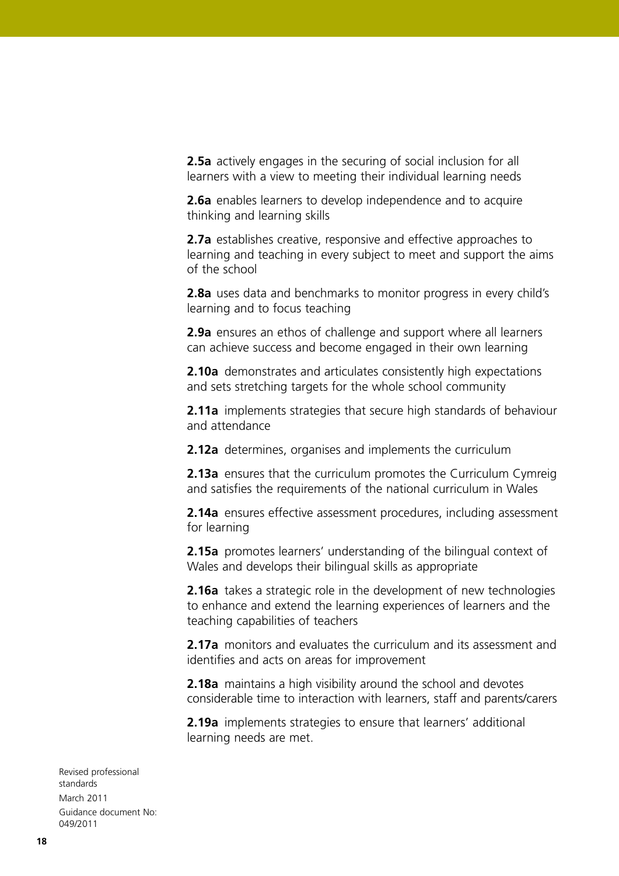**2.5a** actively engages in the securing of social inclusion for all learners with a view to meeting their individual learning needs

**2.6a** enables learners to develop independence and to acquire thinking and learning skills

**2.7a** establishes creative, responsive and effective approaches to learning and teaching in every subject to meet and support the aims of the school

**2.8a** uses data and benchmarks to monitor progress in every child's learning and to focus teaching

**2.9a** ensures an ethos of challenge and support where all learners can achieve success and become engaged in their own learning

**2.10a** demonstrates and articulates consistently high expectations and sets stretching targets for the whole school community

**2.11a** implements strategies that secure high standards of behaviour and attendance

**2.12a** determines, organises and implements the curriculum

**2.13a** ensures that the curriculum promotes the Curriculum Cymreig and satisfies the requirements of the national curriculum in Wales

**2.14a** ensures effective assessment procedures, including assessment for learning

**2.15a** promotes learners' understanding of the bilingual context of Wales and develops their bilingual skills as appropriate

**2.16a** takes a strategic role in the development of new technologies to enhance and extend the learning experiences of learners and the teaching capabilities of teachers

**2.17a** monitors and evaluates the curriculum and its assessment and identifies and acts on areas for improvement

**2.18a** maintains a high visibility around the school and devotes considerable time to interaction with learners, staff and parents/carers

**2.19a** implements strategies to ensure that learners' additional learning needs are met.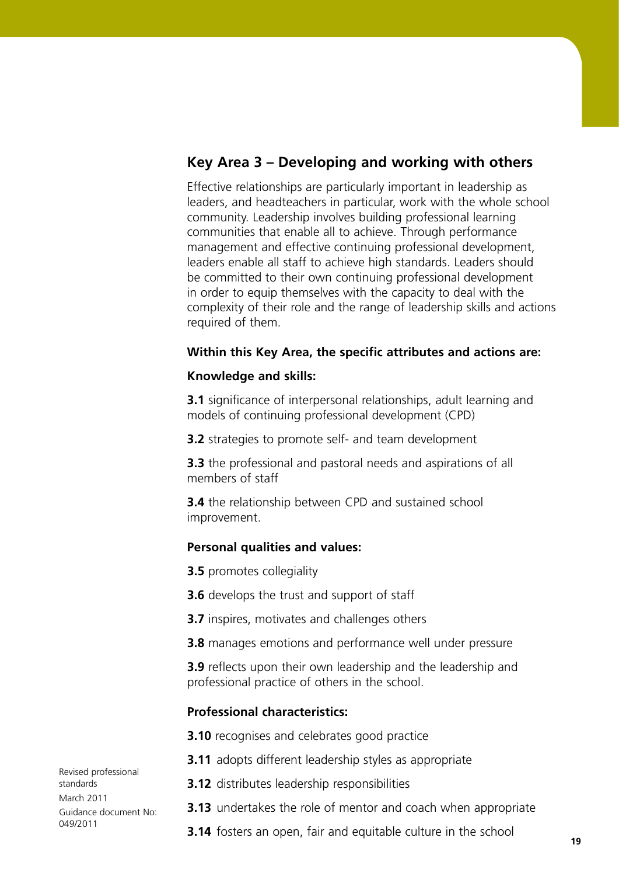## **Key Area 3 – Developing and working with others**

Effective relationships are particularly important in leadership as leaders, and headteachers in particular, work with the whole school community. Leadership involves building professional learning communities that enable all to achieve. Through performance management and effective continuing professional development, leaders enable all staff to achieve high standards. Leaders should be committed to their own continuing professional development in order to equip themselves with the capacity to deal with the complexity of their role and the range of leadership skills and actions required of them.

## **Within this Key Area, the specific attributes and actions are:**

### **Knowledge and skills:**

**3.1** significance of interpersonal relationships, adult learning and models of continuing professional development (CPD)

**3.2** strategies to promote self- and team development

**3.3** the professional and pastoral needs and aspirations of all members of staff

**3.4** the relationship between CPD and sustained school improvement.

## **Personal qualities and values:**

**3.5** promotes collegiality

**3.6** develops the trust and support of staff

**3.7** inspires, motivates and challenges others

**3.8** manages emotions and performance well under pressure

**3.9** reflects upon their own leadership and the leadership and professional practice of others in the school.

## **Professional characteristics:**

**3.10** recognises and celebrates good practice

- **3.11** adopts different leadership styles as appropriate
- **3.12** distributes leadership responsibilities
- **3.13** undertakes the role of mentor and coach when appropriate
- **3.14** fosters an open, fair and equitable culture in the school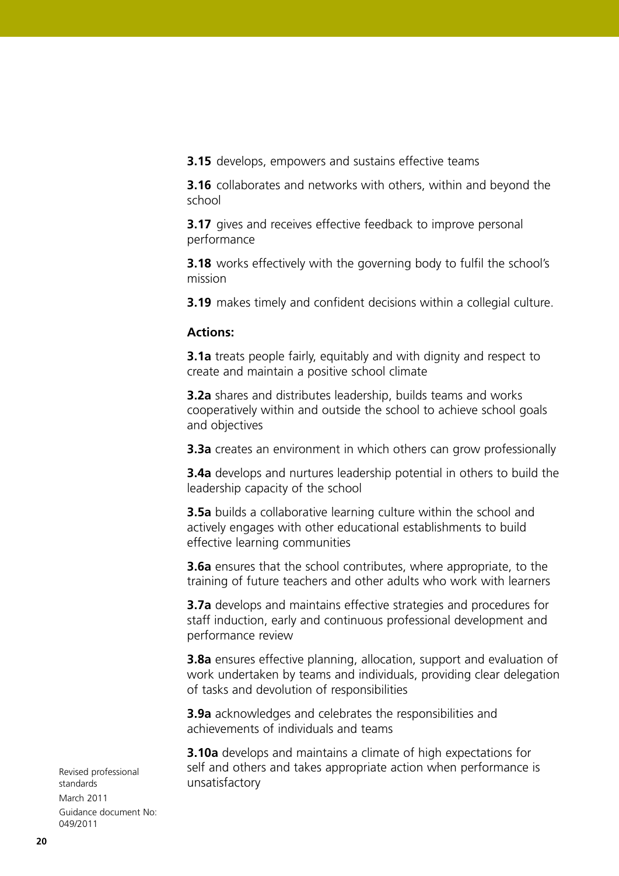**3.15** develops, empowers and sustains effective teams

**3.16** collaborates and networks with others, within and beyond the school

**3.17** gives and receives effective feedback to improve personal performance

**3.18** works effectively with the governing body to fulfil the school's mission

**3.19** makes timely and confident decisions within a collegial culture.

#### **Actions:**

**3.1a** treats people fairly, equitably and with dignity and respect to create and maintain a positive school climate

**3.2a** shares and distributes leadership, builds teams and works cooperatively within and outside the school to achieve school goals and objectives

**3.3a** creates an environment in which others can grow professionally

**3.4a** develops and nurtures leadership potential in others to build the leadership capacity of the school

**3.5a** builds a collaborative learning culture within the school and actively engages with other educational establishments to build effective learning communities

**3.6a** ensures that the school contributes, where appropriate, to the training of future teachers and other adults who work with learners

**3.7a** develops and maintains effective strategies and procedures for staff induction, early and continuous professional development and performance review

**3.8a** ensures effective planning, allocation, support and evaluation of work undertaken by teams and individuals, providing clear delegation of tasks and devolution of responsibilities

**3.9a** acknowledges and celebrates the responsibilities and achievements of individuals and teams

**3.10a** develops and maintains a climate of high expectations for self and others and takes appropriate action when performance is unsatisfactory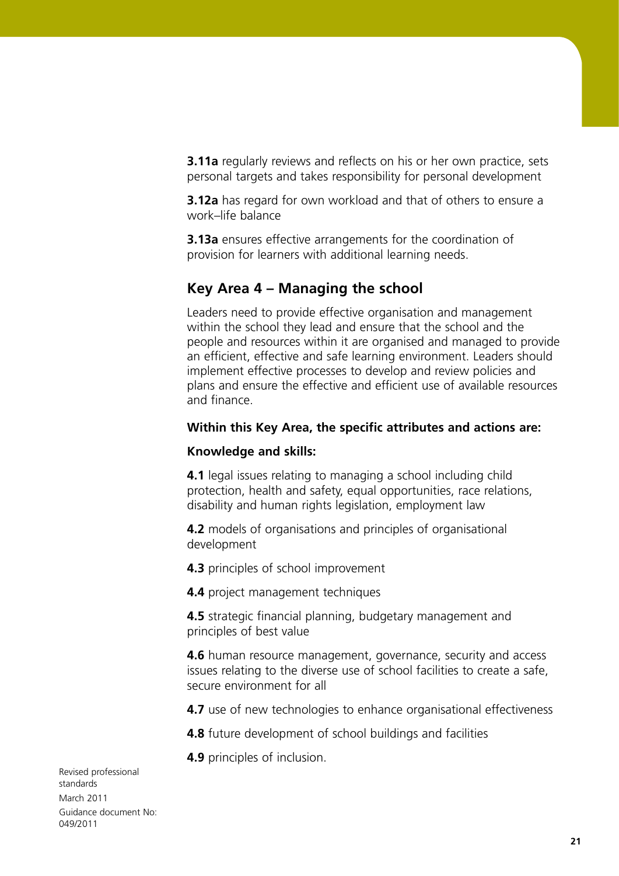**3.11a** regularly reviews and reflects on his or her own practice, sets personal targets and takes responsibility for personal development

**3.12a** has regard for own workload and that of others to ensure a work–life balance

**3.13a** ensures effective arrangements for the coordination of provision for learners with additional learning needs.

## **Key Area 4 – Managing the school**

Leaders need to provide effective organisation and management within the school they lead and ensure that the school and the people and resources within it are organised and managed to provide an efficient, effective and safe learning environment. Leaders should implement effective processes to develop and review policies and plans and ensure the effective and efficient use of available resources and finance.

## **Within this Key Area, the specific attributes and actions are:**

## **Knowledge and skills:**

**4.1** legal issues relating to managing a school including child protection, health and safety, equal opportunities, race relations, disability and human rights legislation, employment law

**4.2** models of organisations and principles of organisational development

**4.3** principles of school improvement

**4.4** project management techniques

**4.5** strategic financial planning, budgetary management and principles of best value

**4.6** human resource management, governance, security and access issues relating to the diverse use of school facilities to create a safe, secure environment for all

**4.7** use of new technologies to enhance organisational effectiveness

**4.8** future development of school buildings and facilities

**4.9** principles of inclusion.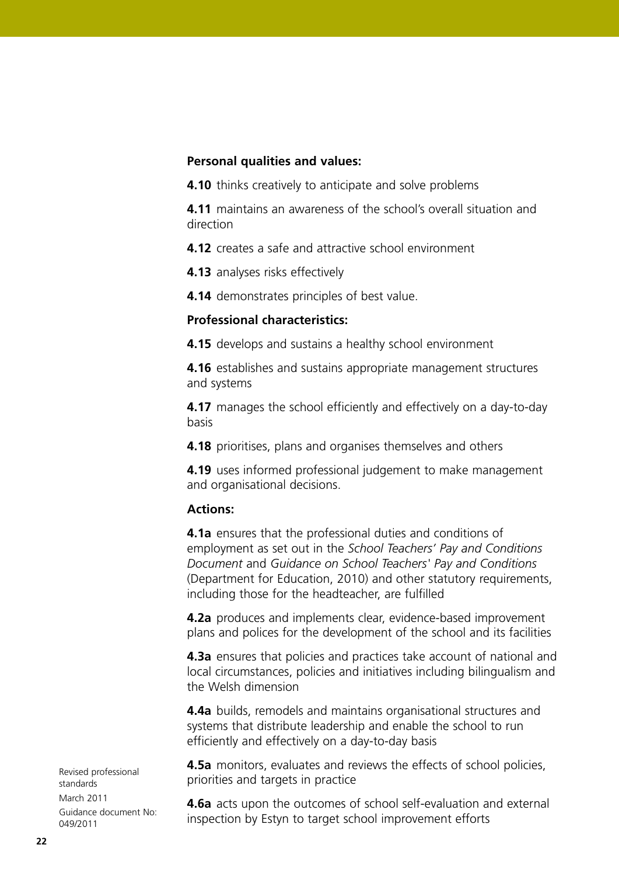### **Personal qualities and values:**

**4.10** thinks creatively to anticipate and solve problems

**4.11** maintains an awareness of the school's overall situation and direction

**4.12** creates a safe and attractive school environment

**4.13** analyses risks effectively

**4.14** demonstrates principles of best value.

## **Professional characteristics:**

**4.15** develops and sustains a healthy school environment

**4.16** establishes and sustains appropriate management structures and systems

**4.17** manages the school efficiently and effectively on a day-to-day basis

**4.18** prioritises, plans and organises themselves and others

**4.19** uses informed professional judgement to make management and organisational decisions.

## **Actions:**

**4.1a** ensures that the professional duties and conditions of employment as set out in the *School Teachers' Pay and Conditions Document* and *Guidance on School Teachers' Pay and Conditions*  (Department for Education, 2010) and other statutory requirements, including those for the headteacher, are fulfilled

**4.2a** produces and implements clear, evidence-based improvement plans and polices for the development of the school and its facilities

**4.3a** ensures that policies and practices take account of national and local circumstances, policies and initiatives including bilingualism and the Welsh dimension

**4.4a** builds, remodels and maintains organisational structures and systems that distribute leadership and enable the school to run efficiently and effectively on a day-to-day basis

**4.5a** monitors, evaluates and reviews the effects of school policies, priorities and targets in practice

**4.6a** acts upon the outcomes of school self-evaluation and external inspection by Estyn to target school improvement efforts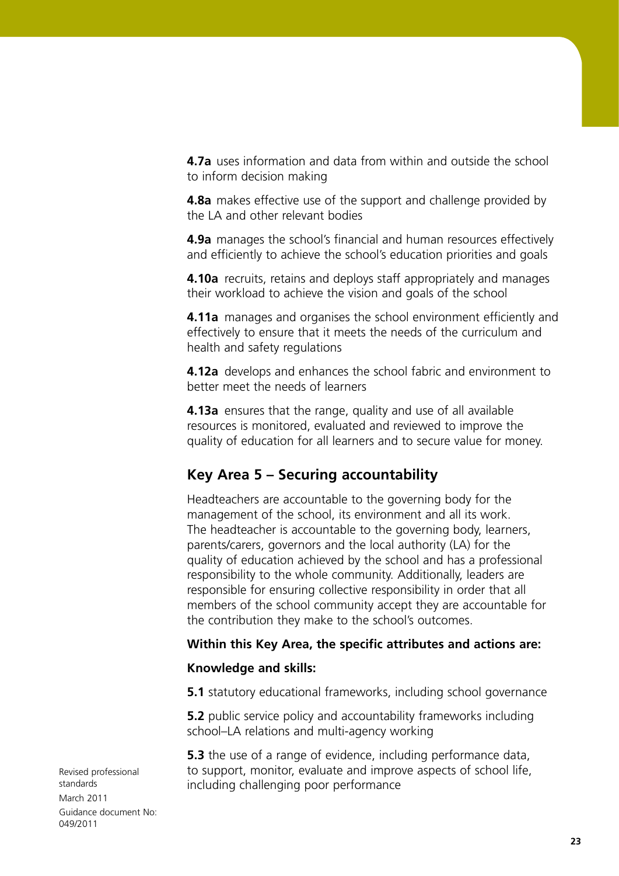**4.7a** uses information and data from within and outside the school to inform decision making

**4.8a** makes effective use of the support and challenge provided by the LA and other relevant bodies

**4.9a** manages the school's financial and human resources effectively and efficiently to achieve the school's education priorities and goals

**4.10a** recruits, retains and deploys staff appropriately and manages their workload to achieve the vision and goals of the school

**4.11a** manages and organises the school environment efficiently and effectively to ensure that it meets the needs of the curriculum and health and safety regulations

**4.12a** develops and enhances the school fabric and environment to better meet the needs of learners

**4.13a** ensures that the range, quality and use of all available resources is monitored, evaluated and reviewed to improve the quality of education for all learners and to secure value for money.

## **Key Area 5 – Securing accountability**

Headteachers are accountable to the governing body for the management of the school, its environment and all its work. The headteacher is accountable to the governing body, learners, parents/carers, governors and the local authority (LA) for the quality of education achieved by the school and has a professional responsibility to the whole community. Additionally, leaders are responsible for ensuring collective responsibility in order that all members of the school community accept they are accountable for the contribution they make to the school's outcomes.

## **Within this Key Area, the specific attributes and actions are:**

#### **Knowledge and skills:**

**5.1** statutory educational frameworks, including school governance

**5.2** public service policy and accountability frameworks including school–LA relations and multi-agency working

**5.3** the use of a range of evidence, including performance data, to support, monitor, evaluate and improve aspects of school life, including challenging poor performance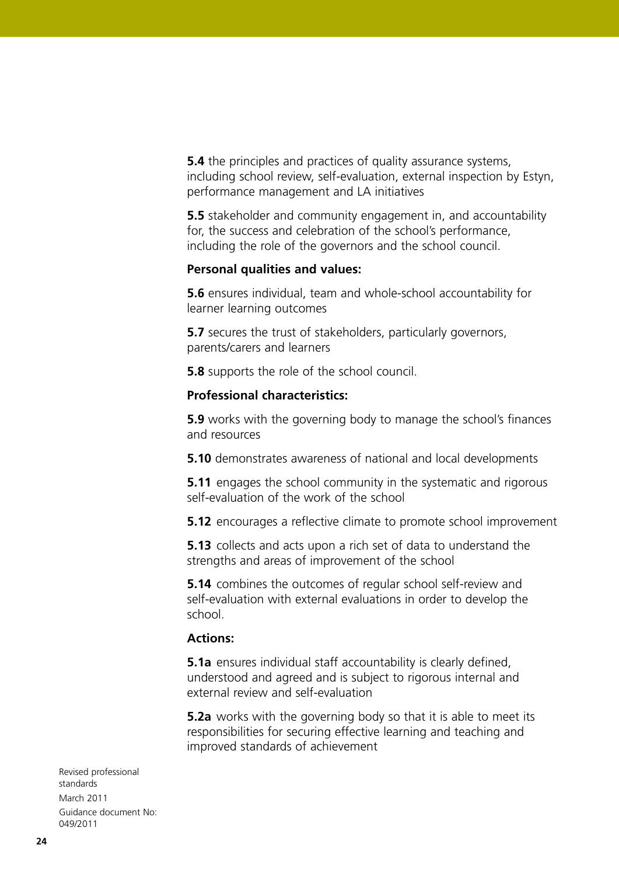**5.4** the principles and practices of quality assurance systems, including school review, self-evaluation, external inspection by Estyn, performance management and LA initiatives

**5.5** stakeholder and community engagement in, and accountability for, the success and celebration of the school's performance, including the role of the governors and the school council.

### **Personal qualities and values:**

**5.6** ensures individual, team and whole-school accountability for learner learning outcomes

**5.7** secures the trust of stakeholders, particularly governors, parents/carers and learners

**5.8** supports the role of the school council.

## **Professional characteristics:**

**5.9** works with the governing body to manage the school's finances and resources

**5.10** demonstrates awareness of national and local developments

**5.11** engages the school community in the systematic and rigorous self-evaluation of the work of the school

**5.12** encourages a reflective climate to promote school improvement

**5.13** collects and acts upon a rich set of data to understand the strengths and areas of improvement of the school

**5.14** combines the outcomes of regular school self-review and self-evaluation with external evaluations in order to develop the school.

## **Actions:**

**5.1a** ensures individual staff accountability is clearly defined, understood and agreed and is subject to rigorous internal and external review and self-evaluation

**5.2a** works with the governing body so that it is able to meet its responsibilities for securing effective learning and teaching and improved standards of achievement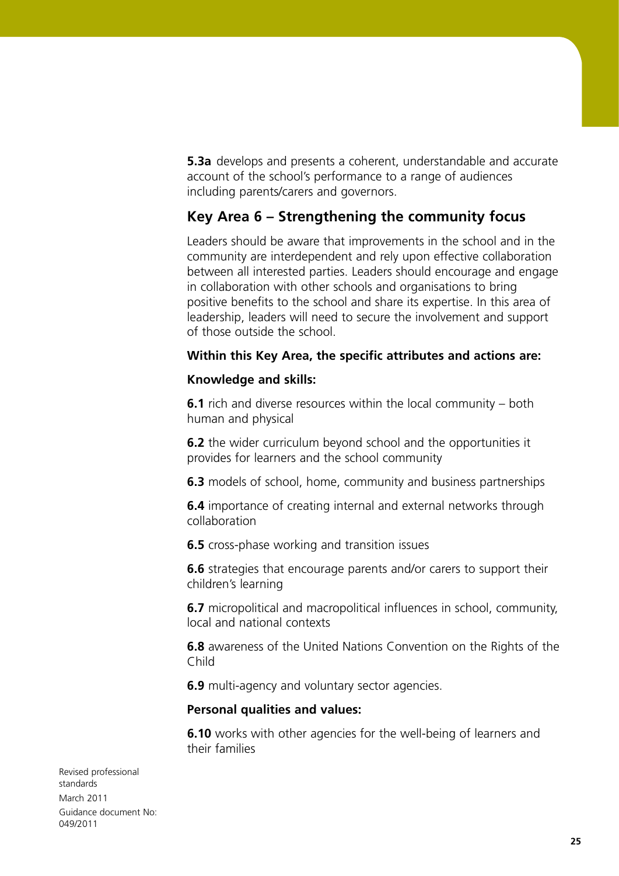**5.3a** develops and presents a coherent, understandable and accurate account of the school's performance to a range of audiences including parents/carers and governors.

## **Key Area 6 – Strengthening the community focus**

Leaders should be aware that improvements in the school and in the community are interdependent and rely upon effective collaboration between all interested parties. Leaders should encourage and engage in collaboration with other schools and organisations to bring positive benefits to the school and share its expertise. In this area of leadership, leaders will need to secure the involvement and support of those outside the school.

## **Within this Key Area, the specific attributes and actions are:**

### **Knowledge and skills:**

**6.1** rich and diverse resources within the local community – both human and physical

**6.2** the wider curriculum beyond school and the opportunities it provides for learners and the school community

**6.3** models of school, home, community and business partnerships

**6.4** importance of creating internal and external networks through collaboration

**6.5** cross-phase working and transition issues

**6.6** strategies that encourage parents and/or carers to support their children's learning

**6.7** micropolitical and macropolitical influences in school, community, local and national contexts

**6.8** awareness of the United Nations Convention on the Rights of the Child

**6.9** multi-agency and voluntary sector agencies.

#### **Personal qualities and values:**

**6.10** works with other agencies for the well-being of learners and their families